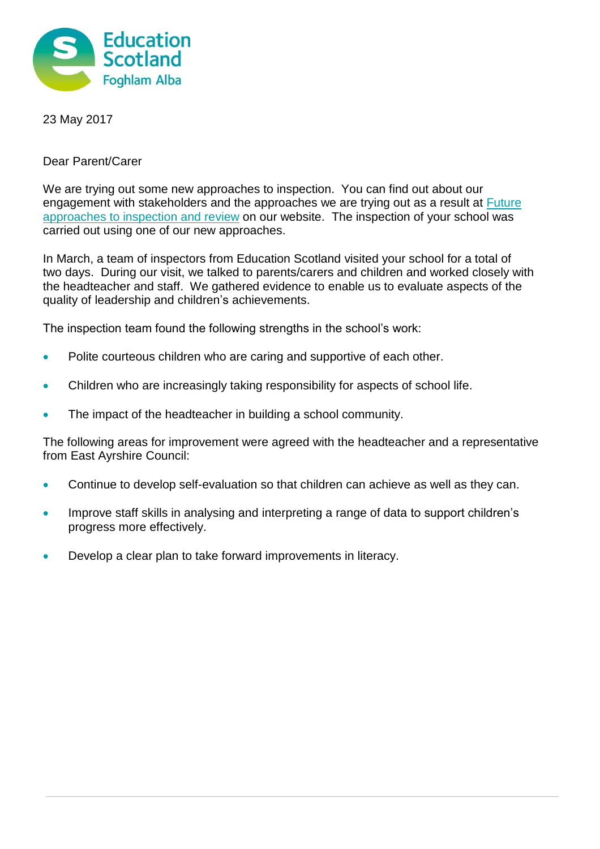

23 May 2017

## Dear Parent/Carer

We are trying out some new approaches to inspection. You can find out about our engagement with stakeholders and the approaches we are trying out as a result at [Future](https://education.gov.scot/what-we-do/inspection-and-review/about-inspections-and-reviews/new-approaches-to-inspection/Future%20approaches%20to%20inspection%20and%20review)  [approaches to inspection and review](https://education.gov.scot/what-we-do/inspection-and-review/about-inspections-and-reviews/new-approaches-to-inspection/Future%20approaches%20to%20inspection%20and%20review) on our website. The inspection of your school was carried out using one of our new approaches.

In March, a team of inspectors from Education Scotland visited your school for a total of two days. During our visit, we talked to parents/carers and children and worked closely with the headteacher and staff. We gathered evidence to enable us to evaluate aspects of the quality of leadership and children's achievements.

The inspection team found the following strengths in the school's work:

- Polite courteous children who are caring and supportive of each other.
- Children who are increasingly taking responsibility for aspects of school life.
- The impact of the headteacher in building a school community.

The following areas for improvement were agreed with the headteacher and a representative from East Ayrshire Council:

- Continue to develop self-evaluation so that children can achieve as well as they can.
- Improve staff skills in analysing and interpreting a range of data to support children's progress more effectively.
- Develop a clear plan to take forward improvements in literacy.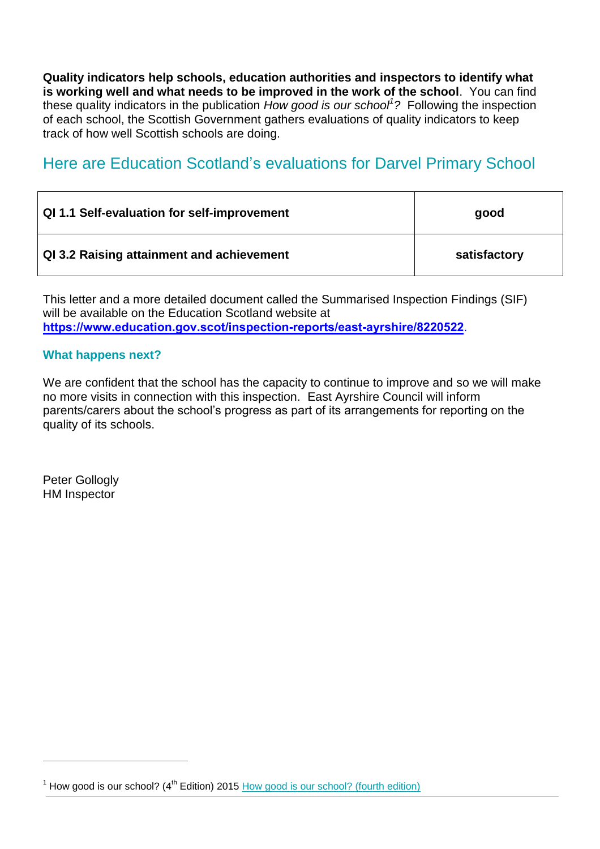**Quality indicators help schools, education authorities and inspectors to identify what is working well and what needs to be improved in the work of the school**.You can find these quality indicators in the publication *How good is our school<sup>1</sup> ?* Following the inspection of each school, the Scottish Government gathers evaluations of quality indicators to keep track of how well Scottish schools are doing.

# Here are Education Scotland's evaluations for Darvel Primary School

| QI 1.1 Self-evaluation for self-improvement | good         |
|---------------------------------------------|--------------|
| QI 3.2 Raising attainment and achievement   | satisfactory |

This letter and a more detailed document called the Summarised Inspection Findings (SIF) will be available on the Education Scotland website at **<https://www.education.gov.scot/inspection-reports/east-ayrshire/8220522>**.

## **What happens next?**

We are confident that the school has the capacity to continue to improve and so we will make no more visits in connection with this inspection. East Ayrshire Council will inform parents/carers about the school's progress as part of its arrangements for reporting on the quality of its schools.

Peter Gollogly HM Inspector

 $1$  How good is our school? ( $4<sup>th</sup>$  Edition) 2015 [How good is our school? \(fourth edition\)](https://education.gov.scot/improvement/Pages/frwk2hgios.aspx)